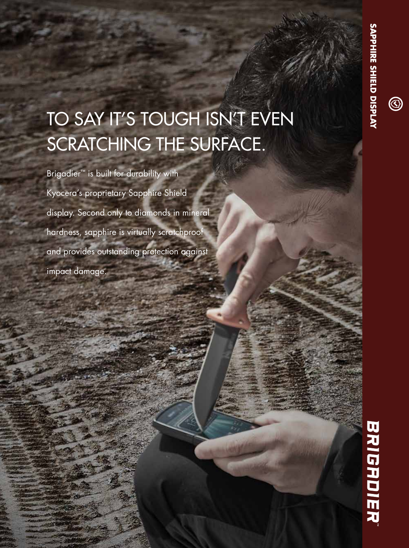# TO SAY IT'S TOUGH ISN'T EVEN SCRATCHING THE SURFACE.

Brigadier<sup>™</sup> is built for durability with Kyocera's proprietary Sapphire Shield display. Second only to diamonds in mineral hardness, sapphire is virtually scratchproof and provides outstanding protection against impact damage.

**SAPPHIRE SHIELD DISPLAY**

 $\circledS$ 

SAPPHIRE SHIELD DISPLAY